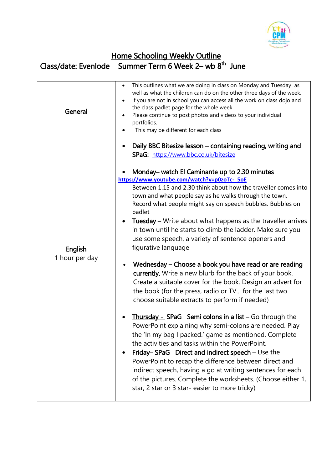

## Home Schooling Weekly Outline Class/date: Evenlode Summer Term 6 Week 2– wb 8<sup>th</sup> June

| General                   | This outlines what we are doing in class on Monday and Tuesday as<br>$\bullet$<br>well as what the children can do on the other three days of the week.<br>If you are not in school you can access all the work on class dojo and<br>$\bullet$<br>the class padlet page for the whole week<br>Please continue to post photos and videos to your individual<br>٠<br>portfolios.<br>This may be different for each class                                                                                                                                                                                                                                                                                                                                                                                                                                                                                                                                                                                                                                                                                                                                                                                                                      |
|---------------------------|---------------------------------------------------------------------------------------------------------------------------------------------------------------------------------------------------------------------------------------------------------------------------------------------------------------------------------------------------------------------------------------------------------------------------------------------------------------------------------------------------------------------------------------------------------------------------------------------------------------------------------------------------------------------------------------------------------------------------------------------------------------------------------------------------------------------------------------------------------------------------------------------------------------------------------------------------------------------------------------------------------------------------------------------------------------------------------------------------------------------------------------------------------------------------------------------------------------------------------------------|
| English<br>1 hour per day | Daily BBC Bitesize lesson - containing reading, writing and<br>٠<br>SPaG: https://www.bbc.co.uk/bitesize<br>Monday– watch El Caminante up to 2.30 minutes<br>https://www.youtube.com/watch?v=p0zoTc-_5oE<br>Between 1.15 and 2.30 think about how the traveller comes into<br>town and what people say as he walks through the town.<br>Record what people might say on speech bubbles. Bubbles on<br>padlet<br>Tuesday - Write about what happens as the traveller arrives<br>$\bullet$<br>in town until he starts to climb the ladder. Make sure you<br>use some speech, a variety of sentence openers and<br>figurative language<br>Wednesday – Choose a book you have read or are reading<br>currently. Write a new blurb for the back of your book.<br>Create a suitable cover for the book. Design an advert for<br>the book (for the press, radio or TV for the last two<br>choose suitable extracts to perform if needed)<br><b>Thursday - SPaG</b> Semi colons in a list $-$ Go through the<br>$\bullet$<br>PowerPoint explaining why semi-colons are needed. Play<br>the 'In my bag I packed.' game as mentioned. Complete<br>the activities and tasks within the PowerPoint.<br>Friday-SPaG Direct and indirect speech - Use the |
|                           | PowerPoint to recap the difference between direct and<br>indirect speech, having a go at writing sentences for each<br>of the pictures. Complete the worksheets. (Choose either 1,<br>star, 2 star or 3 star-easier to more tricky)                                                                                                                                                                                                                                                                                                                                                                                                                                                                                                                                                                                                                                                                                                                                                                                                                                                                                                                                                                                                         |